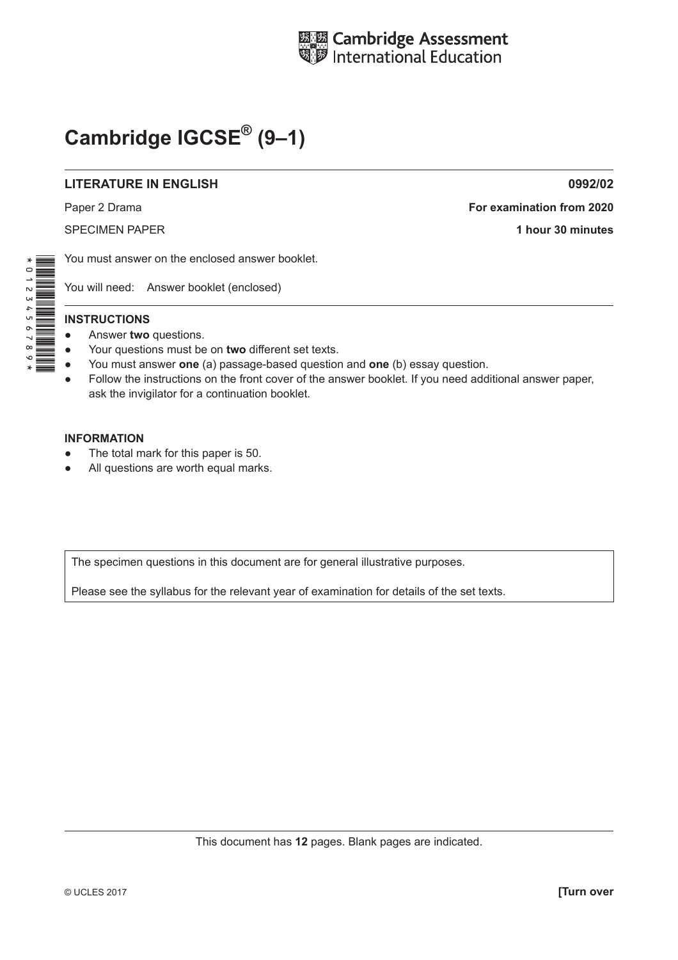

# **Cambridge IGCSE® (9–1)**

#### **LITERATURE IN ENGLISH 0992/02**

Paper 2 Drama **For examination from 2020**

SPECIMEN PAPER **1 hour 30 minutes**

You must answer on the enclosed answer booklet.

You will need: Answer booklet (enclosed)

# \*0123456789\*

#### **INSTRUCTIONS**

- Answer **two** questions.
- Your questions must be on **two** different set texts.
- You must answer **one** (a) passage-based question and **one** (b) essay question.
- Follow the instructions on the front cover of the answer booklet. If you need additional answer paper, ask the invigilator for a continuation booklet.

#### **INFORMATION**

- The total mark for this paper is 50.
- All questions are worth equal marks.

The specimen questions in this document are for general illustrative purposes.

Please see the syllabus for the relevant year of examination for details of the set texts.

This document has **12** pages. Blank pages are indicated.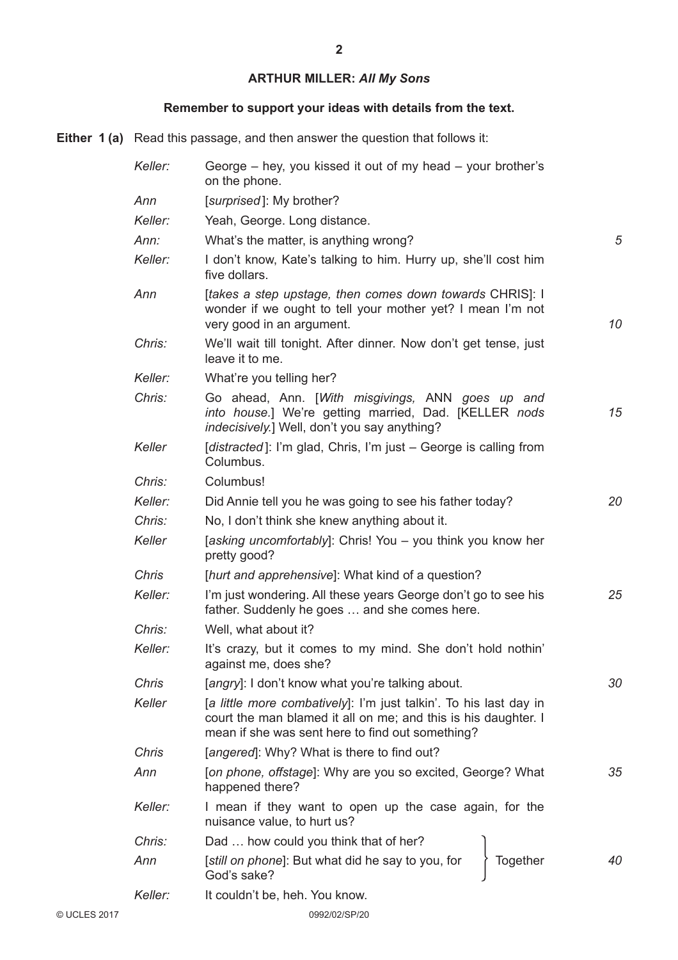# **ARTHUR MILLER:** *All My Sons*

### **Remember to support your ideas with details from the text.**

**Either 1 (a)** Read this passage, and then answer the question that follows it:

|              | Keller:      | George – hey, you kissed it out of my head – your brother's<br>on the phone.                                                                                                            |    |
|--------------|--------------|-----------------------------------------------------------------------------------------------------------------------------------------------------------------------------------------|----|
|              | Ann          | [surprised]: My brother?                                                                                                                                                                |    |
|              | Keller:      | Yeah, George. Long distance.                                                                                                                                                            |    |
|              | Ann:         | What's the matter, is anything wrong?                                                                                                                                                   | 5  |
|              | Keller:      | I don't know, Kate's talking to him. Hurry up, she'll cost him<br>five dollars.                                                                                                         |    |
|              | Ann          | [takes a step upstage, then comes down towards CHRIS]: I<br>wonder if we ought to tell your mother yet? I mean I'm not<br>very good in an argument.                                     | 10 |
|              | Chris:       | We'll wait till tonight. After dinner. Now don't get tense, just<br>leave it to me.                                                                                                     |    |
|              | Keller:      | What're you telling her?                                                                                                                                                                |    |
|              | Chris:       | Go ahead, Ann. [With misgivings, ANN goes up and<br>into house.] We're getting married, Dad. [KELLER nods<br><i>indecisively.</i> ] Well, don't you say anything?                       | 15 |
|              | Keller       | [distracted]: I'm glad, Chris, I'm just - George is calling from<br>Columbus.                                                                                                           |    |
|              | Chris:       | Columbus!                                                                                                                                                                               |    |
|              | Keller:      | Did Annie tell you he was going to see his father today?                                                                                                                                | 20 |
|              | Chris:       | No, I don't think she knew anything about it.                                                                                                                                           |    |
|              | Keller       | [asking uncomfortably]: Chris! You - you think you know her<br>pretty good?                                                                                                             |    |
|              | <b>Chris</b> | [hurt and apprehensive]: What kind of a question?                                                                                                                                       |    |
|              | Keller:      | I'm just wondering. All these years George don't go to see his<br>father. Suddenly he goes  and she comes here.                                                                         | 25 |
|              | Chris:       | Well, what about it?                                                                                                                                                                    |    |
|              | Keller:      | It's crazy, but it comes to my mind. She don't hold nothin'<br>against me, does she?                                                                                                    |    |
|              | Chris        | [angry]: I don't know what you're talking about.                                                                                                                                        | 30 |
|              | Keller       | [a little more combatively]: I'm just talkin'. To his last day in<br>court the man blamed it all on me; and this is his daughter. I<br>mean if she was sent here to find out something? |    |
|              | <b>Chris</b> | [angered]: Why? What is there to find out?                                                                                                                                              |    |
|              | Ann          | [on phone, offstage]: Why are you so excited, George? What<br>happened there?                                                                                                           | 35 |
|              | Keller:      | I mean if they want to open up the case again, for the<br>nuisance value, to hurt us?                                                                                                   |    |
|              | Chris:       | Dad  how could you think that of her?                                                                                                                                                   |    |
|              | Ann          | [still on phone]: But what did he say to you, for<br>Together<br>God's sake?                                                                                                            | 40 |
|              | Keller:      | It couldn't be, heh. You know.                                                                                                                                                          |    |
| © UCLES 2017 |              | 0992/02/SP/20                                                                                                                                                                           |    |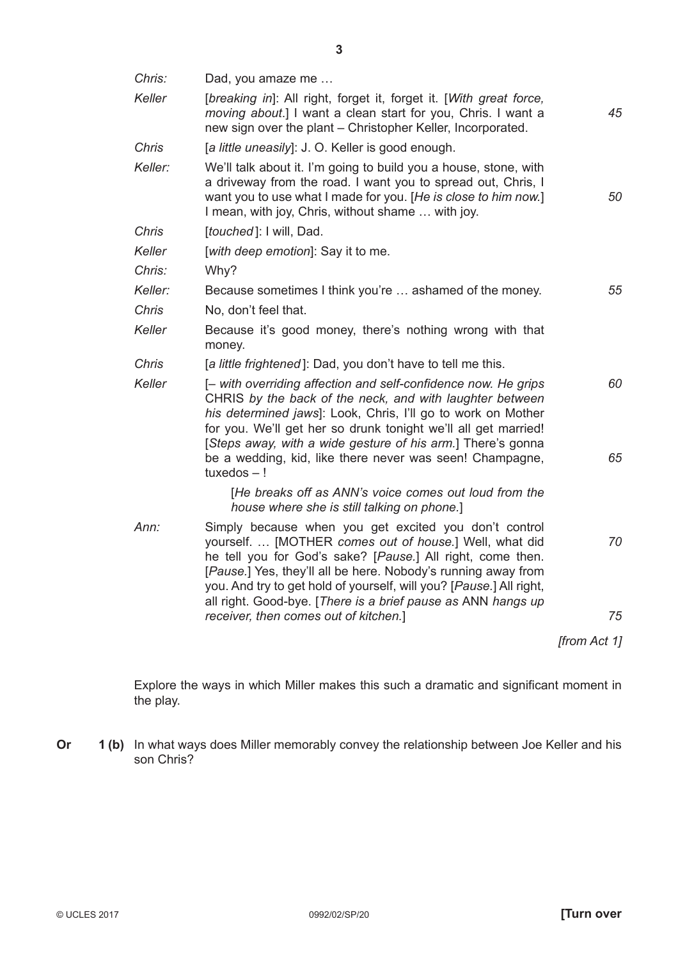| Chris:       | Dad, you amaze me                                                                                                                                                                                                                                                                                                                                                                                          |              |
|--------------|------------------------------------------------------------------------------------------------------------------------------------------------------------------------------------------------------------------------------------------------------------------------------------------------------------------------------------------------------------------------------------------------------------|--------------|
| Keller       | [breaking in]: All right, forget it, forget it. [With great force,<br>moving about.] I want a clean start for you, Chris. I want a<br>new sign over the plant - Christopher Keller, Incorporated.                                                                                                                                                                                                          | 45           |
| <b>Chris</b> | [a little uneasily]: J. O. Keller is good enough.                                                                                                                                                                                                                                                                                                                                                          |              |
| Keller:      | We'll talk about it. I'm going to build you a house, stone, with<br>a driveway from the road. I want you to spread out, Chris, I<br>want you to use what I made for you. [He is close to him now.]<br>I mean, with joy, Chris, without shame  with joy.                                                                                                                                                    | 50           |
| <b>Chris</b> | [touched]: I will, Dad.                                                                                                                                                                                                                                                                                                                                                                                    |              |
| Keller       | [with deep emotion]: Say it to me.                                                                                                                                                                                                                                                                                                                                                                         |              |
| Chris:       | Why?                                                                                                                                                                                                                                                                                                                                                                                                       |              |
| Keller:      | Because sometimes I think you're  ashamed of the money.                                                                                                                                                                                                                                                                                                                                                    | 55           |
| <b>Chris</b> | No, don't feel that.                                                                                                                                                                                                                                                                                                                                                                                       |              |
| Keller       | Because it's good money, there's nothing wrong with that<br>money.                                                                                                                                                                                                                                                                                                                                         |              |
| Chris        | [a little frightened]: Dad, you don't have to tell me this.                                                                                                                                                                                                                                                                                                                                                |              |
| Keller       | [- with overriding affection and self-confidence now. He grips<br>CHRIS by the back of the neck, and with laughter between<br>his determined jaws]: Look, Chris, I'll go to work on Mother<br>for you. We'll get her so drunk tonight we'll all get married!<br>[Steps away, with a wide gesture of his arm.] There's gonna<br>be a wedding, kid, like there never was seen! Champagne,<br>$t$ uxedos $-!$ | 60<br>65     |
|              | [He breaks off as ANN's voice comes out loud from the<br>house where she is still talking on phone.]                                                                                                                                                                                                                                                                                                       |              |
| Ann:         | Simply because when you get excited you don't control<br>yourself.  [MOTHER comes out of house.] Well, what did<br>he tell you for God's sake? [Pause.] All right, come then.<br>[Pause.] Yes, they'll all be here. Nobody's running away from<br>you. And try to get hold of yourself, will you? [Pause.] All right,                                                                                      | 70           |
|              | all right. Good-bye. [There is a brief pause as ANN hangs up<br>receiver, then comes out of kitchen.]                                                                                                                                                                                                                                                                                                      | 75           |
|              |                                                                                                                                                                                                                                                                                                                                                                                                            | [from Act 1] |
|              |                                                                                                                                                                                                                                                                                                                                                                                                            |              |

**3**

Explore the ways in which Miller makes this such a dramatic and significant moment in the play.

**Or** 1 (b) In what ways does Miller memorably convey the relationship between Joe Keller and his son Chris?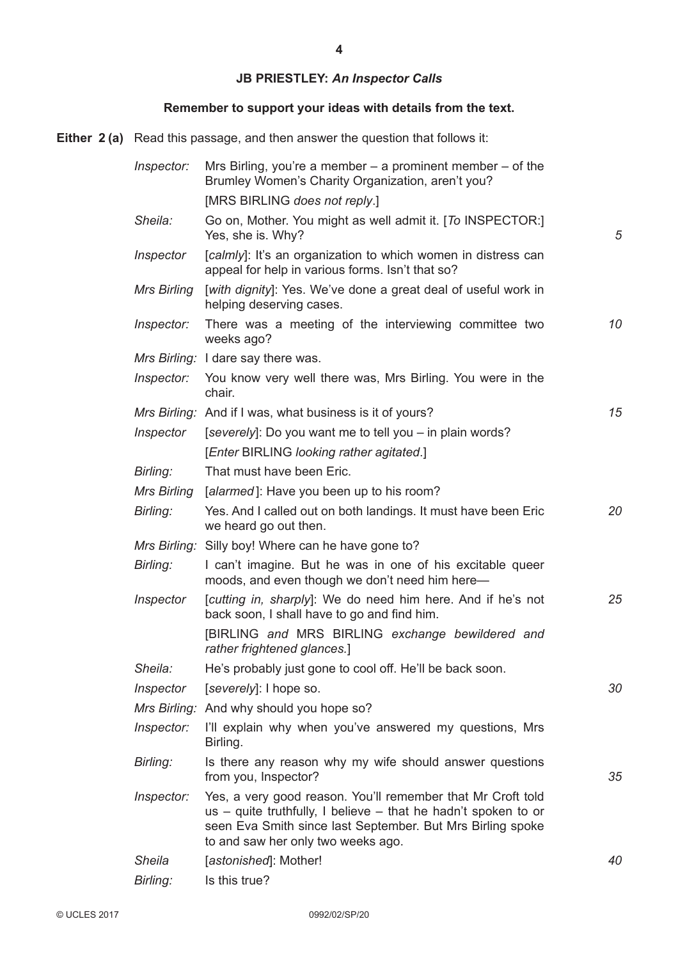### **JB PRIESTLEY:** *An Inspector Calls*

### **Remember to support your ideas with details from the text.**

**Either 2 (a)** Read this passage, and then answer the question that follows it:

| Inspector:    | Mrs Birling, you're a member $-$ a prominent member $-$ of the<br>Brumley Women's Charity Organization, aren't you?                                                                                                               |    |
|---------------|-----------------------------------------------------------------------------------------------------------------------------------------------------------------------------------------------------------------------------------|----|
|               | [MRS BIRLING does not reply.]                                                                                                                                                                                                     |    |
| Sheila:       | Go on, Mother. You might as well admit it. [To INSPECTOR:]<br>Yes, she is. Why?                                                                                                                                                   | 5  |
| Inspector     | [calmly]: It's an organization to which women in distress can<br>appeal for help in various forms. Isn't that so?                                                                                                                 |    |
| Mrs Birling   | [with dignity]: Yes. We've done a great deal of useful work in<br>helping deserving cases.                                                                                                                                        |    |
| Inspector:    | There was a meeting of the interviewing committee two<br>weeks ago?                                                                                                                                                               | 10 |
|               | Mrs Birling: I dare say there was.                                                                                                                                                                                                |    |
| Inspector:    | You know very well there was, Mrs Birling. You were in the<br>chair.                                                                                                                                                              |    |
|               | Mrs Birling: And if I was, what business is it of yours?                                                                                                                                                                          | 15 |
| Inspector     | [severely]: Do you want me to tell you – in plain words?                                                                                                                                                                          |    |
|               | [Enter BIRLING looking rather agitated.]                                                                                                                                                                                          |    |
| Birling:      | That must have been Eric.                                                                                                                                                                                                         |    |
| Mrs Birling   | [alarmed]: Have you been up to his room?                                                                                                                                                                                          |    |
| Birling:      | Yes. And I called out on both landings. It must have been Eric<br>we heard go out then.                                                                                                                                           | 20 |
|               | Mrs Birling: Silly boy! Where can he have gone to?                                                                                                                                                                                |    |
| Birling:      | I can't imagine. But he was in one of his excitable queer<br>moods, and even though we don't need him here-                                                                                                                       |    |
| Inspector     | [cutting in, sharply]: We do need him here. And if he's not<br>back soon, I shall have to go and find him.                                                                                                                        | 25 |
|               | [BIRLING and MRS BIRLING exchange bewildered and<br>rather frightened glances.]                                                                                                                                                   |    |
| Sheila:       | He's probably just gone to cool off. He'll be back soon.                                                                                                                                                                          |    |
| Inspector     | [severely]: I hope so.                                                                                                                                                                                                            | 30 |
|               | Mrs Birling: And why should you hope so?                                                                                                                                                                                          |    |
| Inspector:    | I'll explain why when you've answered my questions, Mrs<br>Birling.                                                                                                                                                               |    |
| Birling:      | Is there any reason why my wife should answer questions<br>from you, Inspector?                                                                                                                                                   | 35 |
| Inspector:    | Yes, a very good reason. You'll remember that Mr Croft told<br>us - quite truthfully, I believe - that he hadn't spoken to or<br>seen Eva Smith since last September. But Mrs Birling spoke<br>to and saw her only two weeks ago. |    |
| <b>Sheila</b> | [astonished]: Mother!                                                                                                                                                                                                             | 40 |
| Birling:      | Is this true?                                                                                                                                                                                                                     |    |
|               |                                                                                                                                                                                                                                   |    |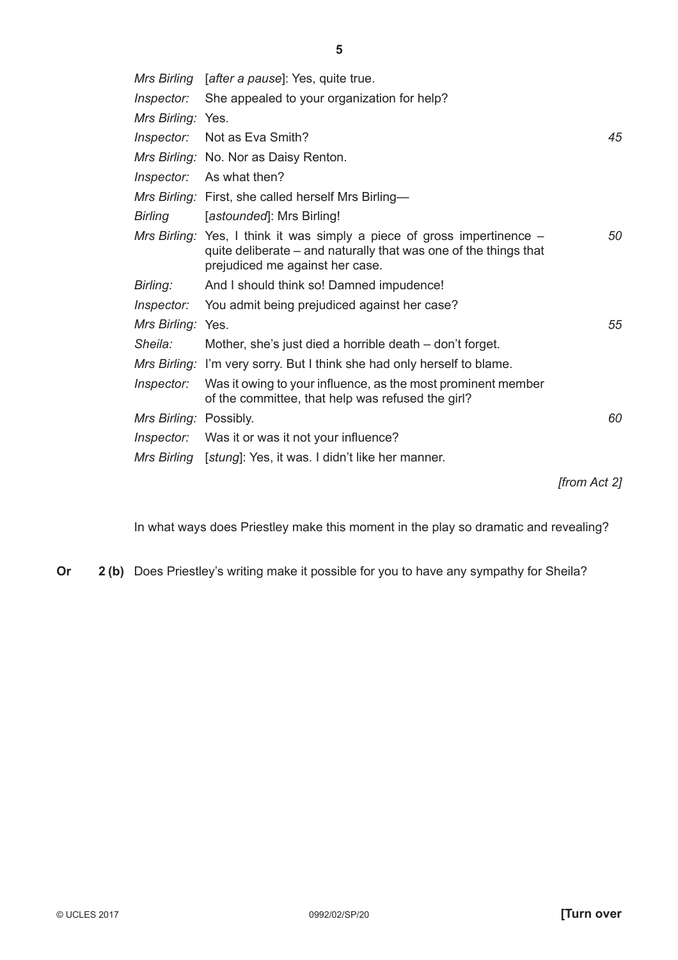|                        | Mrs Birling [after a pause]: Yes, quite true.                                                                                                                                    |    |
|------------------------|----------------------------------------------------------------------------------------------------------------------------------------------------------------------------------|----|
| <i>Inspector:</i>      | She appealed to your organization for help?                                                                                                                                      |    |
| Mrs Birling: Yes.      |                                                                                                                                                                                  |    |
|                        | Inspector: Not as Eva Smith?                                                                                                                                                     | 45 |
|                        | Mrs Birling: No. Nor as Daisy Renton.                                                                                                                                            |    |
| Inspector:             | As what then?                                                                                                                                                                    |    |
|                        | Mrs Birling: First, she called herself Mrs Birling-                                                                                                                              |    |
| <b>Birling</b>         | [astounded]: Mrs Birling!                                                                                                                                                        |    |
|                        | Mrs Birling: Yes, I think it was simply a piece of gross impertinence $-$<br>quite deliberate – and naturally that was one of the things that<br>prejudiced me against her case. | 50 |
| Birling:               | And I should think so! Damned impudence!                                                                                                                                         |    |
| Inspector:             | You admit being prejudiced against her case?                                                                                                                                     |    |
| Mrs Birling: Yes.      |                                                                                                                                                                                  | 55 |
| Sheila:                | Mother, she's just died a horrible death – don't forget.                                                                                                                         |    |
|                        | Mrs Birling: I'm very sorry. But I think she had only herself to blame.                                                                                                          |    |
| Inspector:             | Was it owing to your influence, as the most prominent member<br>of the committee, that help was refused the girl?                                                                |    |
| Mrs Birling: Possibly. |                                                                                                                                                                                  | 60 |
| Inspector:             | Was it or was it not your influence?                                                                                                                                             |    |
| <b>Mrs Birling</b>     | [stung]: Yes, it was. I didn't like her manner.                                                                                                                                  |    |

*[from Act 2]*

In what ways does Priestley make this moment in the play so dramatic and revealing?

**Or** 2 (b) Does Priestley's writing make it possible for you to have any sympathy for Sheila?

**5**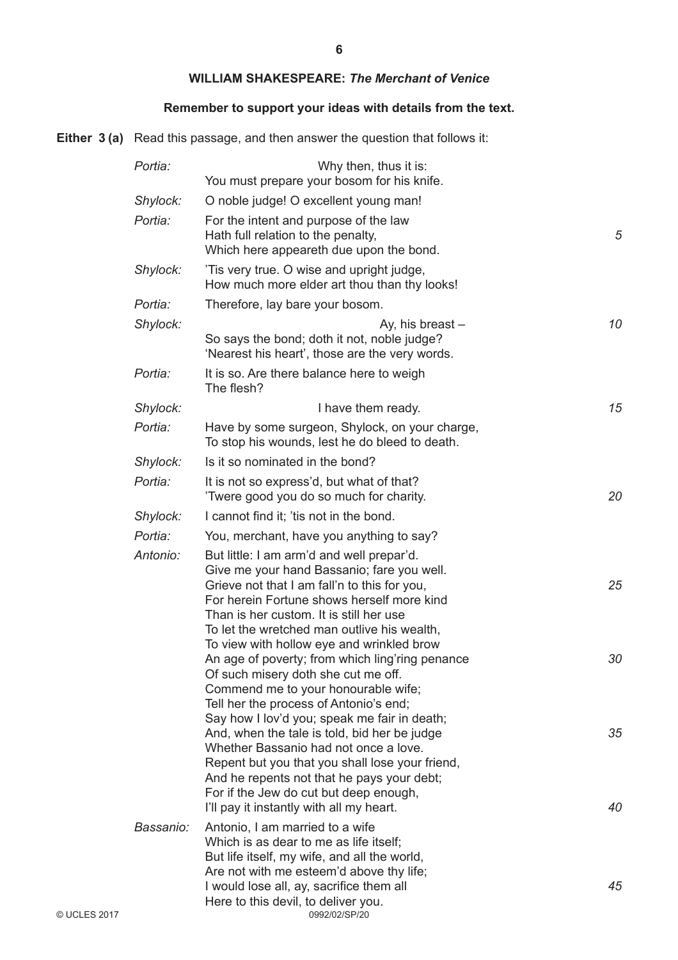#### **WILLIAM SHAKESPEARE:** *The Merchant of Venice*

### **Remember to support your ideas with details from the text.**

**Either 3 (a)** Read this passage, and then answer the question that follows it:

| Portia:   | Why then, thus it is:<br>You must prepare your bosom for his knife.                                                                                                                                                                                                              |    |
|-----------|----------------------------------------------------------------------------------------------------------------------------------------------------------------------------------------------------------------------------------------------------------------------------------|----|
| Shylock:  | O noble judge! O excellent young man!                                                                                                                                                                                                                                            |    |
| Portia:   | For the intent and purpose of the law<br>Hath full relation to the penalty,<br>Which here appeareth due upon the bond.                                                                                                                                                           | 5  |
| Shylock:  | Tis very true. O wise and upright judge,<br>How much more elder art thou than thy looks!                                                                                                                                                                                         |    |
| Portia:   | Therefore, lay bare your bosom.                                                                                                                                                                                                                                                  |    |
| Shylock:  | Ay, his breast -<br>So says the bond; doth it not, noble judge?<br>'Nearest his heart', those are the very words.                                                                                                                                                                | 10 |
| Portia:   | It is so. Are there balance here to weigh<br>The flesh?                                                                                                                                                                                                                          |    |
| Shylock:  | I have them ready.                                                                                                                                                                                                                                                               | 15 |
| Portia:   | Have by some surgeon, Shylock, on your charge,<br>To stop his wounds, lest he do bleed to death.                                                                                                                                                                                 |    |
| Shylock:  | Is it so nominated in the bond?                                                                                                                                                                                                                                                  |    |
| Portia:   | It is not so express'd, but what of that?<br>Twere good you do so much for charity.                                                                                                                                                                                              | 20 |
| Shylock:  | I cannot find it; 'tis not in the bond.                                                                                                                                                                                                                                          |    |
| Portia:   | You, merchant, have you anything to say?                                                                                                                                                                                                                                         |    |
| Antonio:  | But little: I am arm'd and well prepar'd.<br>Give me your hand Bassanio; fare you well.<br>Grieve not that I am fall'n to this for you,<br>For herein Fortune shows herself more kind<br>Than is her custom. It is still her use<br>To let the wretched man outlive his wealth,  | 25 |
|           | To view with hollow eye and wrinkled brow<br>An age of poverty; from which ling'ring penance<br>Of such misery doth she cut me off.<br>Commend me to your honourable wife;<br>Tell her the process of Antonio's end;                                                             | 30 |
|           | Say how I lov'd you; speak me fair in death;<br>And, when the tale is told, bid her be judge<br>Whether Bassanio had not once a love.<br>Repent but you that you shall lose your friend,<br>And he repents not that he pays your debt;<br>For if the Jew do cut but deep enough, | 35 |
|           | I'll pay it instantly with all my heart.                                                                                                                                                                                                                                         | 40 |
| Bassanio: | Antonio, I am married to a wife<br>Which is as dear to me as life itself;<br>But life itself, my wife, and all the world,<br>Are not with me esteem'd above thy life;<br>I would lose all, ay, sacrifice them all                                                                | 45 |
|           | Here to this devil, to deliver you.<br>0992/02/SP/20                                                                                                                                                                                                                             |    |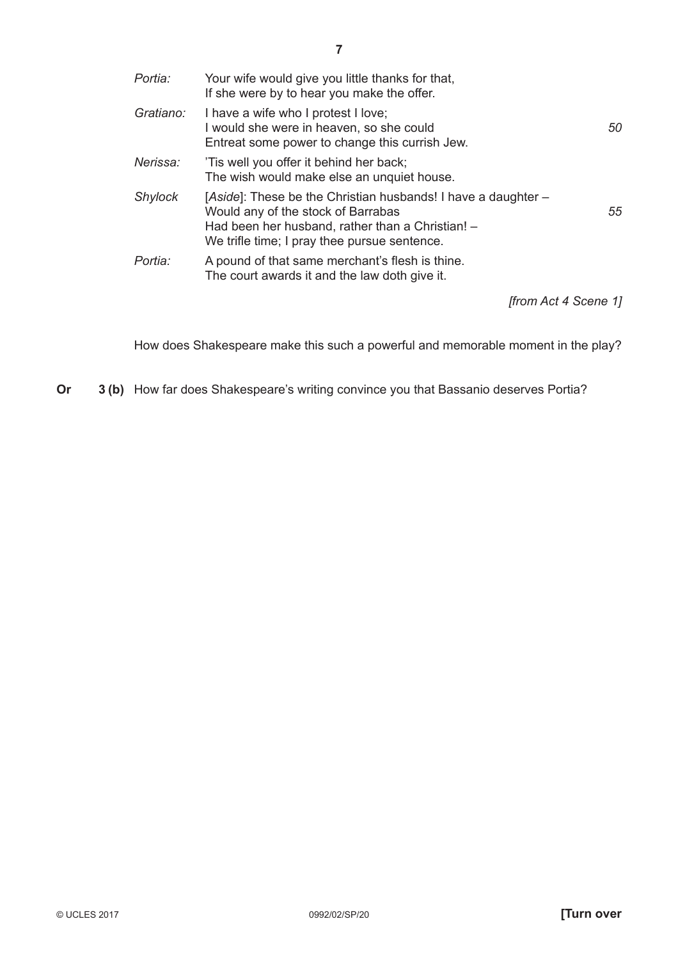| Portia:        | Your wife would give you little thanks for that,<br>If she were by to hear you make the offer.                                                                                                          |    |
|----------------|---------------------------------------------------------------------------------------------------------------------------------------------------------------------------------------------------------|----|
| Gratiano:      | I have a wife who I protest I love;<br>I would she were in heaven, so she could<br>Entreat some power to change this currish Jew.                                                                       | 50 |
| Nerissa:       | 'Tis well you offer it behind her back;<br>The wish would make else an unquiet house.                                                                                                                   |    |
| <b>Shylock</b> | [Aside]: These be the Christian husbands! I have a daughter –<br>Would any of the stock of Barrabas<br>Had been her husband, rather than a Christian! -<br>We trifle time; I pray thee pursue sentence. | 55 |
| Portia:        | A pound of that same merchant's flesh is thine.<br>The court awards it and the law doth give it.                                                                                                        |    |
|                | ffrom Act 4 Scene 11                                                                                                                                                                                    |    |

How does Shakespeare make this such a powerful and memorable moment in the play?

**Or 3 (b)** How far does Shakespeare's writing convince you that Bassanio deserves Portia?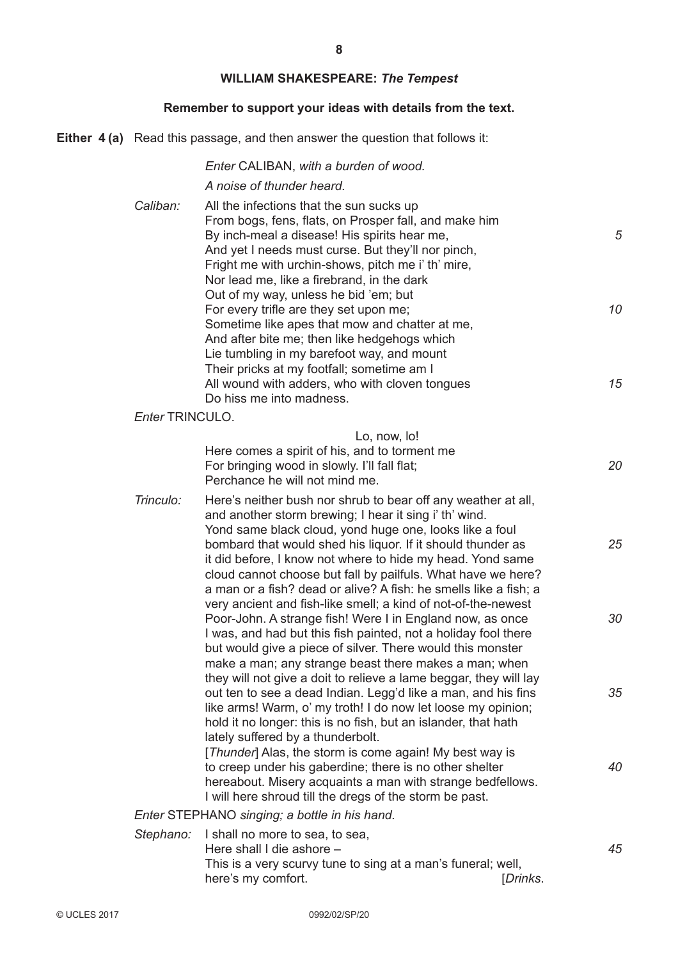# **WILLIAM SHAKESPEARE:** *The Tempest*

### **Remember to support your ideas with details from the text.**

**Either 4 (a)** Read this passage, and then answer the question that follows it:

|                 | Enter CALIBAN, with a burden of wood.                                                                                                                                                                                                                                                                                                                                                                                                                                                                                                                                                                                                          |                |
|-----------------|------------------------------------------------------------------------------------------------------------------------------------------------------------------------------------------------------------------------------------------------------------------------------------------------------------------------------------------------------------------------------------------------------------------------------------------------------------------------------------------------------------------------------------------------------------------------------------------------------------------------------------------------|----------------|
|                 | A noise of thunder heard.                                                                                                                                                                                                                                                                                                                                                                                                                                                                                                                                                                                                                      |                |
| Caliban:        | All the infections that the sun sucks up<br>From bogs, fens, flats, on Prosper fall, and make him<br>By inch-meal a disease! His spirits hear me,<br>And yet I needs must curse. But they'll nor pinch,<br>Fright me with urchin-shows, pitch me i' th' mire,<br>Nor lead me, like a firebrand, in the dark<br>Out of my way, unless he bid 'em; but<br>For every trifle are they set upon me;<br>Sometime like apes that mow and chatter at me,<br>And after bite me; then like hedgehogs which<br>Lie tumbling in my barefoot way, and mount<br>Their pricks at my footfall; sometime am I<br>All wound with adders, who with cloven tongues | 5<br>10<br>15  |
|                 | Do hiss me into madness.                                                                                                                                                                                                                                                                                                                                                                                                                                                                                                                                                                                                                       |                |
| Enter TRINCULO. |                                                                                                                                                                                                                                                                                                                                                                                                                                                                                                                                                                                                                                                |                |
|                 | Lo, now, lo!<br>Here comes a spirit of his, and to torment me<br>For bringing wood in slowly. I'll fall flat;<br>Perchance he will not mind me.                                                                                                                                                                                                                                                                                                                                                                                                                                                                                                | 20             |
| Trinculo:       | Here's neither bush nor shrub to bear off any weather at all,<br>and another storm brewing; I hear it sing i' th' wind.<br>Yond same black cloud, yond huge one, looks like a foul<br>bombard that would shed his liquor. If it should thunder as<br>it did before, I know not where to hide my head. Yond same<br>cloud cannot choose but fall by pailfuls. What have we here?                                                                                                                                                                                                                                                                | 25             |
|                 | a man or a fish? dead or alive? A fish: he smells like a fish; a<br>very ancient and fish-like smell; a kind of not-of-the-newest<br>Poor-John. A strange fish! Were I in England now, as once<br>I was, and had but this fish painted, not a holiday fool there<br>but would give a piece of silver. There would this monster<br>make a man; any strange beast there makes a man; when                                                                                                                                                                                                                                                        | 30             |
|                 | they will not give a doit to relieve a lame beggar, they will lay<br>out ten to see a dead Indian. Legg'd like a man, and his fins<br>like arms! Warm, o' my troth! I do now let loose my opinion;<br>hold it no longer: this is no fish, but an islander, that hath<br>lately suffered by a thunderbolt.                                                                                                                                                                                                                                                                                                                                      | 35             |
|                 | [Thunder] Alas, the storm is come again! My best way is<br>to creep under his gaberdine; there is no other shelter<br>hereabout. Misery acquaints a man with strange bedfellows.<br>I will here shroud till the dregs of the storm be past.                                                                                                                                                                                                                                                                                                                                                                                                    | 40             |
|                 | Enter STEPHANO singing; a bottle in his hand.                                                                                                                                                                                                                                                                                                                                                                                                                                                                                                                                                                                                  |                |
| Stephano:       | I shall no more to sea, to sea,<br>Here shall I die ashore -<br>This is a very scurvy tune to sing at a man's funeral; well,<br>here's my comfort.                                                                                                                                                                                                                                                                                                                                                                                                                                                                                             | 45<br>[Drinks. |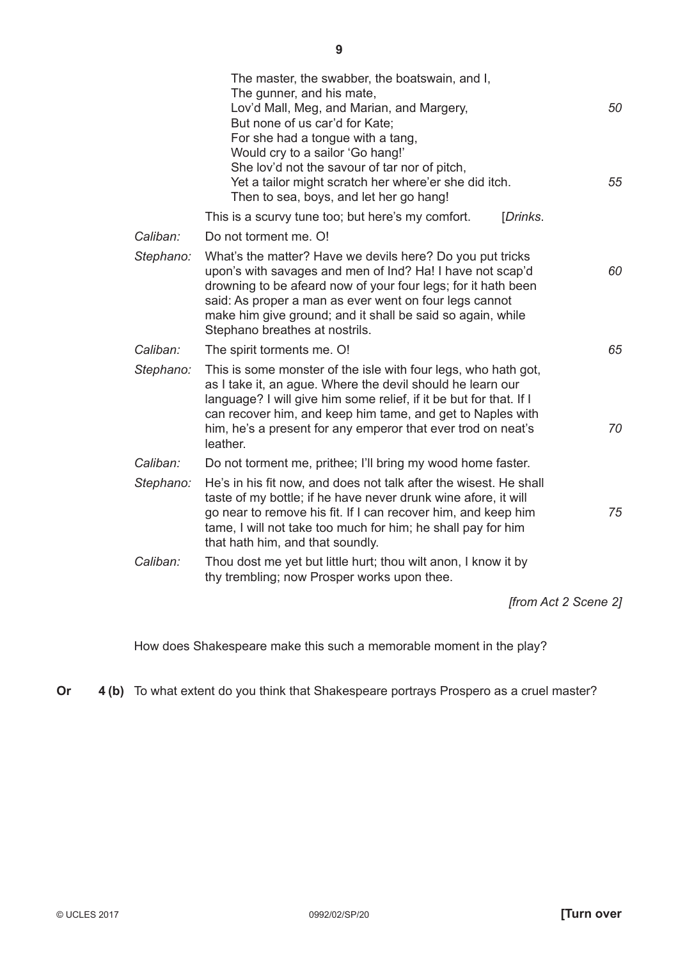| The master, the swabber, the boatswain, and I,<br>The gunner, and his mate,<br>Lov'd Mall, Meg, and Marian, and Margery,<br>But none of us car'd for Kate;<br>For she had a tongue with a tang,<br>Would cry to a sailor 'Go hang!'<br>She lov'd not the savour of tar nor of pitch,<br>Yet a tailor might scratch her where'er she did itch.<br>Then to sea, boys, and let her go hang! | 50<br>55 |
|------------------------------------------------------------------------------------------------------------------------------------------------------------------------------------------------------------------------------------------------------------------------------------------------------------------------------------------------------------------------------------------|----------|
| This is a scurvy tune too; but here's my comfort.<br>[Drinks.                                                                                                                                                                                                                                                                                                                            |          |
| Caliban:<br>Do not torment me. O!                                                                                                                                                                                                                                                                                                                                                        |          |
| Stephano:<br>What's the matter? Have we devils here? Do you put tricks<br>upon's with savages and men of Ind? Ha! I have not scap'd<br>drowning to be afeard now of your four legs; for it hath been<br>said: As proper a man as ever went on four legs cannot<br>make him give ground; and it shall be said so again, while<br>Stephano breathes at nostrils.                           | 60       |
| Caliban:<br>The spirit torments me. O!                                                                                                                                                                                                                                                                                                                                                   | 65       |
| Stephano:<br>This is some monster of the isle with four legs, who hath got,<br>as I take it, an ague. Where the devil should he learn our<br>language? I will give him some relief, if it be but for that. If I<br>can recover him, and keep him tame, and get to Naples with<br>him, he's a present for any emperor that ever trod on neat's<br>leather.                                | 70       |
| Caliban:<br>Do not torment me, prithee; I'll bring my wood home faster.                                                                                                                                                                                                                                                                                                                  |          |
| Stephano:<br>He's in his fit now, and does not talk after the wisest. He shall<br>taste of my bottle; if he have never drunk wine afore, it will<br>go near to remove his fit. If I can recover him, and keep him<br>tame, I will not take too much for him; he shall pay for him<br>that hath him, and that soundly.                                                                    | 75       |
| Caliban:<br>Thou dost me yet but little hurt; thou wilt anon, I know it by<br>thy trembling; now Prosper works upon thee.                                                                                                                                                                                                                                                                |          |
| [from Act 2 Scene 2]                                                                                                                                                                                                                                                                                                                                                                     |          |

How does Shakespeare make this such a memorable moment in the play?

**Or 4 (b)** To what extent do you think that Shakespeare portrays Prospero as a cruel master?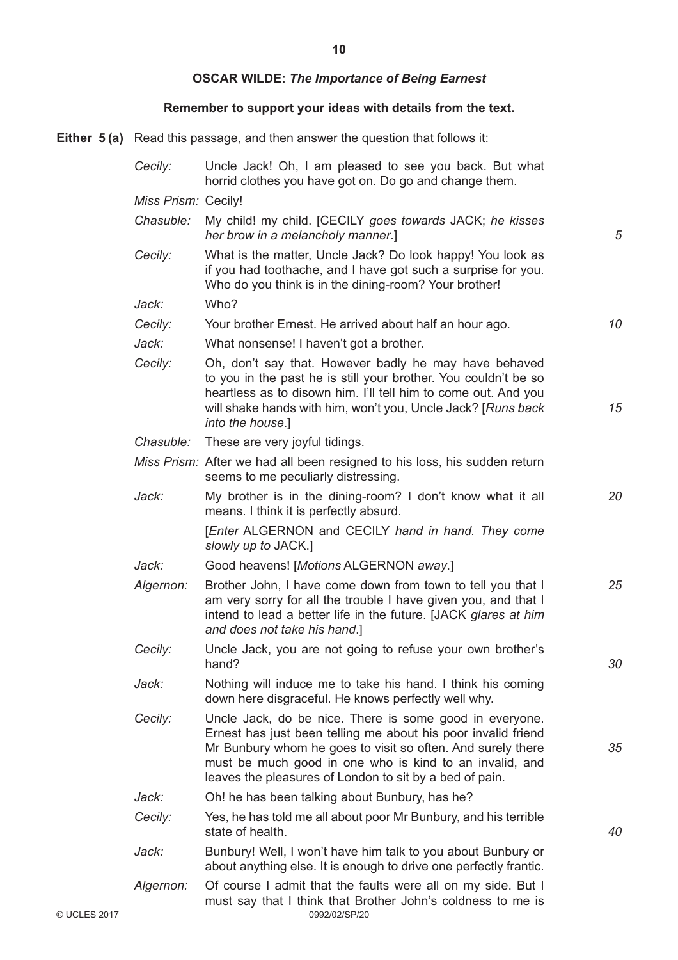**10**

# **OSCAR WILDE:** *The Importance of Being Earnest*

### **Remember to support your ideas with details from the text.**

**Either 5 (a)** Read this passage, and then answer the question that follows it:

|              | Cecily:             | Uncle Jack! Oh, I am pleased to see you back. But what<br>horrid clothes you have got on. Do go and change them.                                                                                                                                                                                              |    |
|--------------|---------------------|---------------------------------------------------------------------------------------------------------------------------------------------------------------------------------------------------------------------------------------------------------------------------------------------------------------|----|
|              | Miss Prism: Cecily! |                                                                                                                                                                                                                                                                                                               |    |
|              | Chasuble:           | My child! my child. [CECILY goes towards JACK; he kisses<br>her brow in a melancholy manner.]                                                                                                                                                                                                                 | 5  |
|              | Cecily:             | What is the matter, Uncle Jack? Do look happy! You look as<br>if you had toothache, and I have got such a surprise for you.<br>Who do you think is in the dining-room? Your brother!                                                                                                                          |    |
|              | Jack:               | Who?                                                                                                                                                                                                                                                                                                          |    |
|              | Cecily:             | Your brother Ernest. He arrived about half an hour ago.                                                                                                                                                                                                                                                       | 10 |
|              | Jack:               | What nonsense! I haven't got a brother.                                                                                                                                                                                                                                                                       |    |
|              | Cecily:             | Oh, don't say that. However badly he may have behaved<br>to you in the past he is still your brother. You couldn't be so<br>heartless as to disown him. I'll tell him to come out. And you<br>will shake hands with him, won't you, Uncle Jack? [Runs back<br>into the house.]                                | 15 |
|              | Chasuble:           | These are very joyful tidings.                                                                                                                                                                                                                                                                                |    |
|              |                     | Miss Prism: After we had all been resigned to his loss, his sudden return<br>seems to me peculiarly distressing.                                                                                                                                                                                              |    |
|              | Jack:               | My brother is in the dining-room? I don't know what it all<br>means. I think it is perfectly absurd.                                                                                                                                                                                                          | 20 |
|              |                     | [Enter ALGERNON and CECILY hand in hand. They come<br>slowly up to JACK.]                                                                                                                                                                                                                                     |    |
|              | Jack:               | Good heavens! [Motions ALGERNON away.]                                                                                                                                                                                                                                                                        |    |
|              | Algernon:           | Brother John, I have come down from town to tell you that I<br>am very sorry for all the trouble I have given you, and that I<br>intend to lead a better life in the future. [JACK glares at him<br>and does not take his hand.]                                                                              | 25 |
|              | Cecily:             | Uncle Jack, you are not going to refuse your own brother's<br>hand?                                                                                                                                                                                                                                           | 30 |
|              | Jack:               | Nothing will induce me to take his hand. I think his coming<br>down here disgraceful. He knows perfectly well why.                                                                                                                                                                                            |    |
|              | Cecily:             | Uncle Jack, do be nice. There is some good in everyone.<br>Ernest has just been telling me about his poor invalid friend<br>Mr Bunbury whom he goes to visit so often. And surely there<br>must be much good in one who is kind to an invalid, and<br>leaves the pleasures of London to sit by a bed of pain. | 35 |
|              | Jack:               | Oh! he has been talking about Bunbury, has he?                                                                                                                                                                                                                                                                |    |
|              | Cecily:             | Yes, he has told me all about poor Mr Bunbury, and his terrible<br>state of health.                                                                                                                                                                                                                           | 40 |
|              | Jack:               | Bunbury! Well, I won't have him talk to you about Bunbury or<br>about anything else. It is enough to drive one perfectly frantic.                                                                                                                                                                             |    |
| © UCLES 2017 | Algernon:           | Of course I admit that the faults were all on my side. But I<br>must say that I think that Brother John's coldness to me is<br>0992/02/SP/20                                                                                                                                                                  |    |
|              |                     |                                                                                                                                                                                                                                                                                                               |    |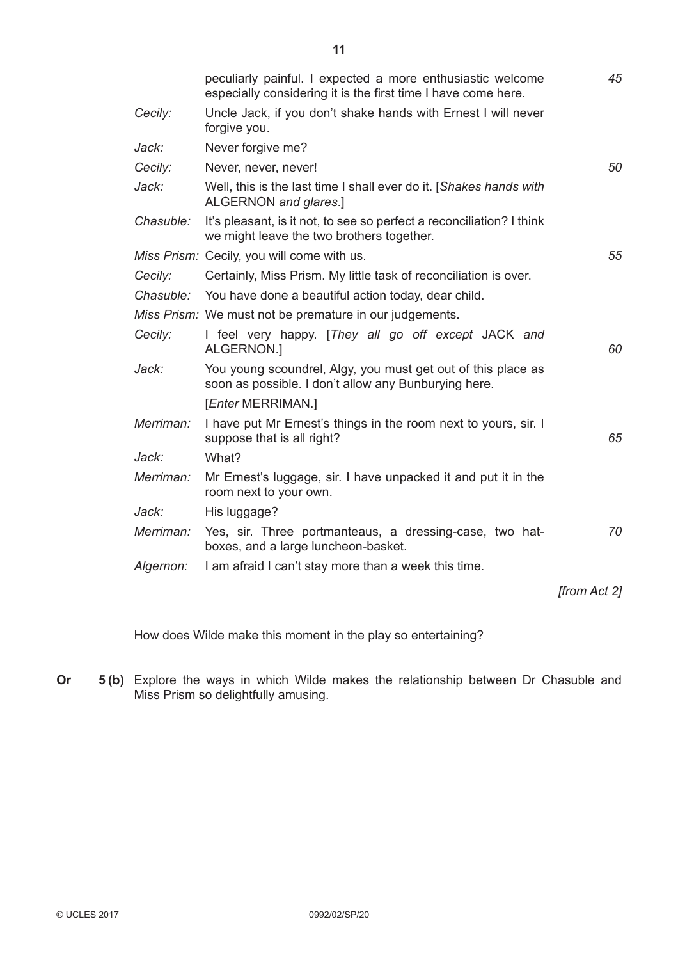|           | peculiarly painful. I expected a more enthusiastic welcome<br>especially considering it is the first time I have come here. | 45           |
|-----------|-----------------------------------------------------------------------------------------------------------------------------|--------------|
| Cecily:   | Uncle Jack, if you don't shake hands with Ernest I will never<br>forgive you.                                               |              |
| Jack:     | Never forgive me?                                                                                                           |              |
| Cecily:   | Never, never, never!                                                                                                        | 50           |
| Jack:     | Well, this is the last time I shall ever do it. [Shakes hands with<br>ALGERNON and glares.]                                 |              |
| Chasuble: | It's pleasant, is it not, to see so perfect a reconciliation? I think<br>we might leave the two brothers together.          |              |
|           | Miss Prism: Cecily, you will come with us.                                                                                  | 55           |
| Cecily:   | Certainly, Miss Prism. My little task of reconciliation is over.                                                            |              |
|           | Chasuble: You have done a beautiful action today, dear child.                                                               |              |
|           | Miss Prism: We must not be premature in our judgements.                                                                     |              |
| Cecily:   | I feel very happy. [They all go off except JACK and<br>ALGERNON.]                                                           | 60           |
| Jack:     | You young scoundrel, Algy, you must get out of this place as<br>soon as possible. I don't allow any Bunburying here.        |              |
|           | [Enter MERRIMAN.]                                                                                                           |              |
| Merriman: | I have put Mr Ernest's things in the room next to yours, sir. I<br>suppose that is all right?                               | 65           |
| Jack:     | What?                                                                                                                       |              |
| Merriman: | Mr Ernest's luggage, sir. I have unpacked it and put it in the<br>room next to your own.                                    |              |
| Jack:     | His luggage?                                                                                                                |              |
| Merriman: | Yes, sir. Three portmanteaus, a dressing-case, two hat-<br>boxes, and a large luncheon-basket.                              | 70           |
| Algernon: | I am afraid I can't stay more than a week this time.                                                                        |              |
|           |                                                                                                                             | [from Act 2] |
|           |                                                                                                                             |              |

How does Wilde make this moment in the play so entertaining?

**Or 5 (b)** Explore the ways in which Wilde makes the relationship between Dr Chasuble and Miss Prism so delightfully amusing.